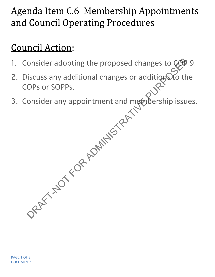# Agenda Item C.6 Membership Appointments and Council Operating Procedures

# Council Action:

- 1. Consider adopting the proposed changes to COD 9.
- 2. Discuss any additional changes or additions to the<br>COPs or SOPPs. COPs or SOPPs. onsider adopting the proposed changes to COD<br>iscuss any additional changes or additions of the<br>OPs or SOPPs.<br>onsider any appointment and membership issues<br>onsider any appointment and membership issues
- 3. Consider any appointment and membership issues.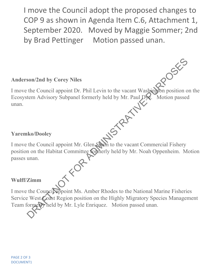I move the Council adopt the proposed changes to COP 9 as shown in Agenda Item C.6, Attachment 1, September 2020. Moved by Maggie Sommer; 2nd by Brad Pettinger Motion passed unan.

### **Anderson/2nd by Corey Niles**

I move the Council appoint Dr. Phil Levin to the vacant Washington position on the Ecosystem Advisory Subpanel formerly held by Mr. Paul Dye. Motion passed Ecosystem Advisory Subpanel formerly held by Mr. Paul Dye. Varemko/Dooley<br>I move the Council appoint Mr. Glen Spain to the vacant Commercial Fishery

### **Yaremko/Dooley**

position on the Habitat Committee formerly held by Mr. Noah Oppenheim. Motion passes unan. Son/2nd by Corey Niles<br>the Council appoint Dr. Phil Levin to the vacant Washington position of<br>term Advisory Subpanel formerly held by Mr. Paul D.<br>R. Motion passed<br>the Council appoint Mr. Glen Starn to the vacant Commercia

#### **Wulff/Zimm**

I move the Council appoint Ms. Amber Rhodes to the National Marine Fisheries Service West Coast Region position on the Highly Migratory Species Management Team formerly held by Mr. Lyle Enriquez. Motion passed unan.